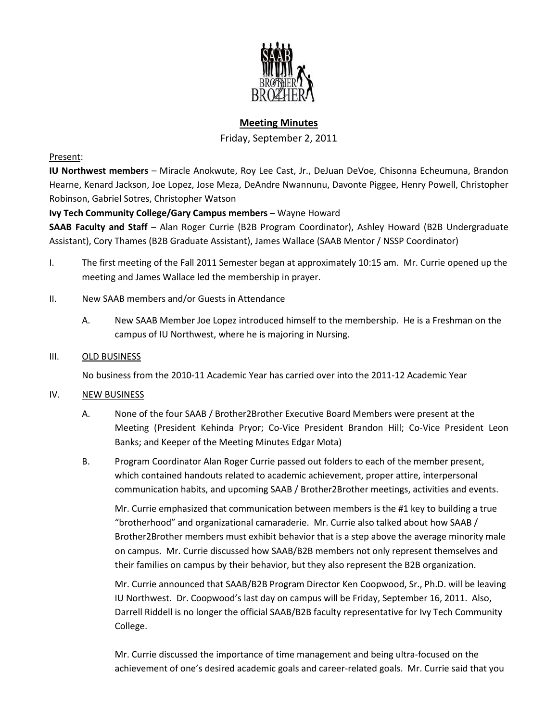

# **Meeting Minutes**

Friday, September 2, 2011

### Present:

**IU Northwest members** – Miracle Anokwute, Roy Lee Cast, Jr., DeJuan DeVoe, Chisonna Echeumuna, Brandon Hearne, Kenard Jackson, Joe Lopez, Jose Meza, DeAndre Nwannunu, Davonte Piggee, Henry Powell, Christopher Robinson, Gabriel Sotres, Christopher Watson

## **Ivy Tech Community College/Gary Campus members** – Wayne Howard

**SAAB Faculty and Staff** – Alan Roger Currie (B2B Program Coordinator), Ashley Howard (B2B Undergraduate Assistant), Cory Thames (B2B Graduate Assistant), James Wallace (SAAB Mentor / NSSP Coordinator)

- I. The first meeting of the Fall 2011 Semester began at approximately 10:15 am. Mr. Currie opened up the meeting and James Wallace led the membership in prayer.
- II. New SAAB members and/or Guests in Attendance
	- A. New SAAB Member Joe Lopez introduced himself to the membership. He is a Freshman on the campus of IU Northwest, where he is majoring in Nursing.

### III. OLD BUSINESS

No business from the 2010-11 Academic Year has carried over into the 2011-12 Academic Year

## IV. NEW BUSINESS

- A. None of the four SAAB / Brother2Brother Executive Board Members were present at the Meeting (President Kehinda Pryor; Co-Vice President Brandon Hill; Co-Vice President Leon Banks; and Keeper of the Meeting Minutes Edgar Mota)
- B. Program Coordinator Alan Roger Currie passed out folders to each of the member present, which contained handouts related to academic achievement, proper attire, interpersonal communication habits, and upcoming SAAB / Brother2Brother meetings, activities and events.

Mr. Currie emphasized that communication between members is the #1 key to building a true "brotherhood" and organizational camaraderie. Mr. Currie also talked about how SAAB / Brother2Brother members must exhibit behavior that is a step above the average minority male on campus. Mr. Currie discussed how SAAB/B2B members not only represent themselves and their families on campus by their behavior, but they also represent the B2B organization.

Mr. Currie announced that SAAB/B2B Program Director Ken Coopwood, Sr., Ph.D. will be leaving IU Northwest. Dr. Coopwood's last day on campus will be Friday, September 16, 2011. Also, Darrell Riddell is no longer the official SAAB/B2B faculty representative for Ivy Tech Community College.

Mr. Currie discussed the importance of time management and being ultra-focused on the achievement of one's desired academic goals and career-related goals. Mr. Currie said that you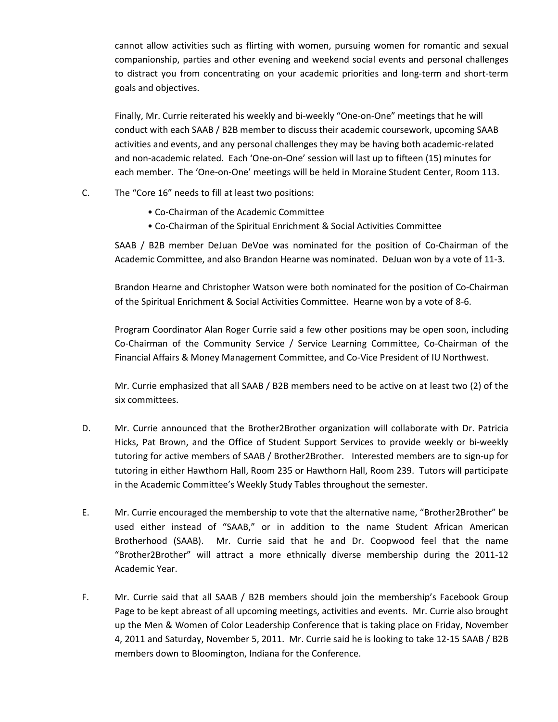cannot allow activities such as flirting with women, pursuing women for romantic and sexual companionship, parties and other evening and weekend social events and personal challenges to distract you from concentrating on your academic priorities and long-term and short-term goals and objectives.

Finally, Mr. Currie reiterated his weekly and bi-weekly "One-on-One" meetings that he will conduct with each SAAB / B2B member to discuss their academic coursework, upcoming SAAB activities and events, and any personal challenges they may be having both academic-related and non-academic related. Each 'One-on-One' session will last up to fifteen (15) minutes for each member. The 'One-on-One' meetings will be held in Moraine Student Center, Room 113.

- C. The "Core 16" needs to fill at least two positions:
	- Co-Chairman of the Academic Committee
	- Co-Chairman of the Spiritual Enrichment & Social Activities Committee

SAAB / B2B member DeJuan DeVoe was nominated for the position of Co-Chairman of the Academic Committee, and also Brandon Hearne was nominated. DeJuan won by a vote of 11-3.

Brandon Hearne and Christopher Watson were both nominated for the position of Co-Chairman of the Spiritual Enrichment & Social Activities Committee. Hearne won by a vote of 8-6.

Program Coordinator Alan Roger Currie said a few other positions may be open soon, including Co-Chairman of the Community Service / Service Learning Committee, Co-Chairman of the Financial Affairs & Money Management Committee, and Co-Vice President of IU Northwest.

Mr. Currie emphasized that all SAAB / B2B members need to be active on at least two (2) of the six committees.

- D. Mr. Currie announced that the Brother2Brother organization will collaborate with Dr. Patricia Hicks, Pat Brown, and the Office of Student Support Services to provide weekly or bi-weekly tutoring for active members of SAAB / Brother2Brother. Interested members are to sign-up for tutoring in either Hawthorn Hall, Room 235 or Hawthorn Hall, Room 239. Tutors will participate in the Academic Committee's Weekly Study Tables throughout the semester.
- E. Mr. Currie encouraged the membership to vote that the alternative name, "Brother2Brother" be used either instead of "SAAB," or in addition to the name Student African American Brotherhood (SAAB). Mr. Currie said that he and Dr. Coopwood feel that the name "Brother2Brother" will attract a more ethnically diverse membership during the 2011-12 Academic Year.
- F. Mr. Currie said that all SAAB / B2B members should join the membership's Facebook Group Page to be kept abreast of all upcoming meetings, activities and events. Mr. Currie also brought up the Men & Women of Color Leadership Conference that is taking place on Friday, November 4, 2011 and Saturday, November 5, 2011. Mr. Currie said he is looking to take 12-15 SAAB / B2B members down to Bloomington, Indiana for the Conference.